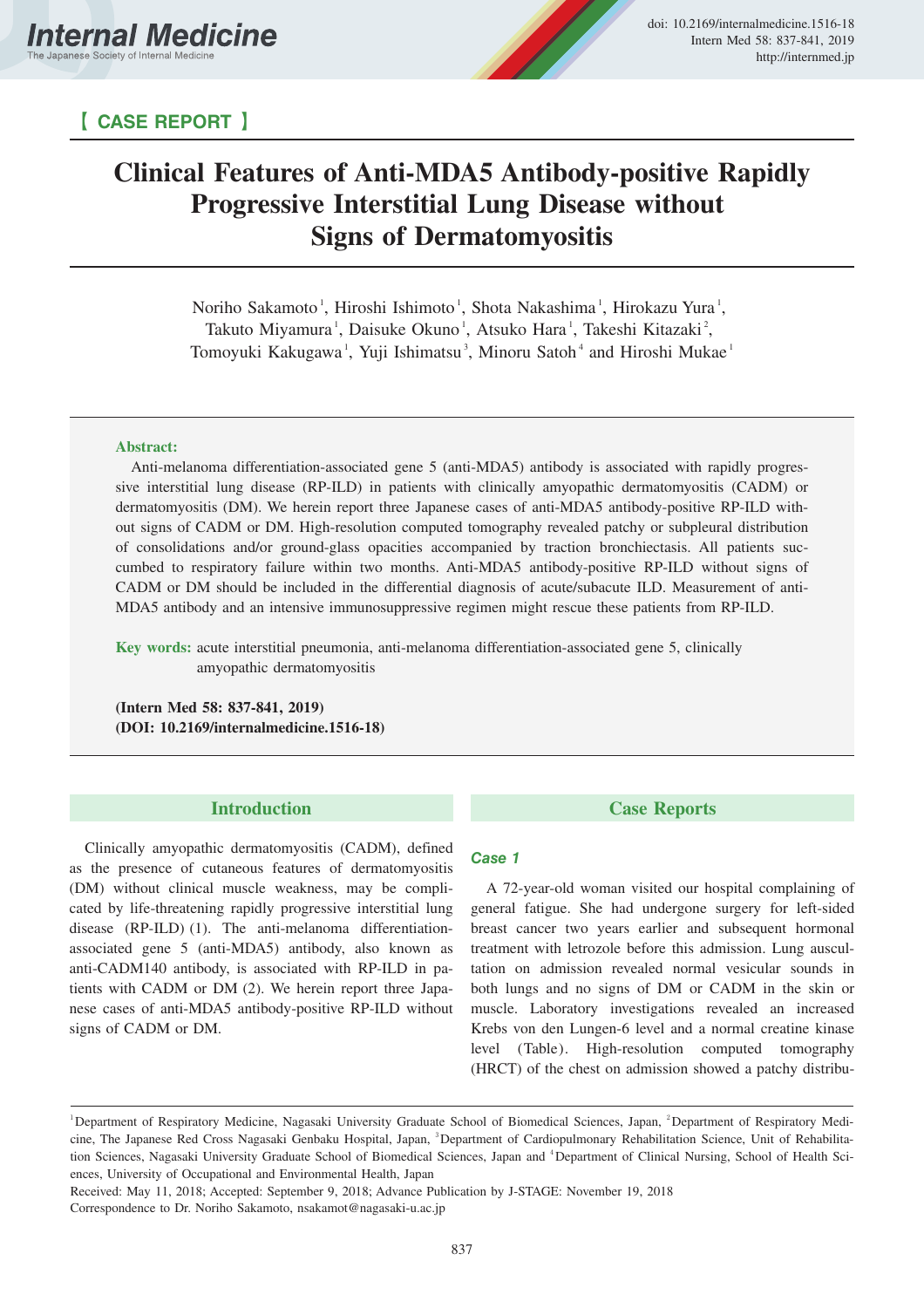# 【 **CASE REPORT** 】

# **Clinical Features of Anti-MDA5 Antibody-positive Rapidly Progressive Interstitial Lung Disease without Signs of Dermatomyositis**

Noriho Sakamoto<sup>1</sup>, Hiroshi Ishimoto<sup>1</sup>, Shota Nakashima<sup>1</sup>, Hirokazu Yura<sup>1</sup>, Takuto Miyamura<sup>1</sup>, Daisuke Okuno<sup>1</sup>, Atsuko Hara<sup>1</sup>, Takeshi Kitazaki<sup>2</sup>, Tomoyuki Kakugawa<sup>1</sup>, Yuji Ishimatsu<sup>3</sup>, Minoru Satoh<sup>4</sup> and Hiroshi Mukae<sup>1</sup>

#### **Abstract:**

Anti-melanoma differentiation-associated gene 5 (anti-MDA5) antibody is associated with rapidly progressive interstitial lung disease (RP-ILD) in patients with clinically amyopathic dermatomyositis (CADM) or dermatomyositis (DM). We herein report three Japanese cases of anti-MDA5 antibody-positive RP-ILD without signs of CADM or DM. High-resolution computed tomography revealed patchy or subpleural distribution of consolidations and/or ground-glass opacities accompanied by traction bronchiectasis. All patients succumbed to respiratory failure within two months. Anti-MDA5 antibody-positive RP-ILD without signs of CADM or DM should be included in the differential diagnosis of acute/subacute ILD. Measurement of anti-MDA5 antibody and an intensive immunosuppressive regimen might rescue these patients from RP-ILD.

**Key words:** acute interstitial pneumonia, anti-melanoma differentiation-associated gene 5, clinically amyopathic dermatomyositis

**(Intern Med 58: 837-841, 2019) (DOI: 10.2169/internalmedicine.1516-18)**

### **Introduction**

Clinically amyopathic dermatomyositis (CADM), defined as the presence of cutaneous features of dermatomyositis (DM) without clinical muscle weakness, may be complicated by life-threatening rapidly progressive interstitial lung disease (RP-ILD) (1). The anti-melanoma differentiationassociated gene 5 (anti-MDA5) antibody, also known as anti-CADM140 antibody, is associated with RP-ILD in patients with CADM or DM (2). We herein report three Japanese cases of anti-MDA5 antibody-positive RP-ILD without signs of CADM or DM.

**Case Reports**

# **Case 1**

A 72-year-old woman visited our hospital complaining of general fatigue. She had undergone surgery for left-sided breast cancer two years earlier and subsequent hormonal treatment with letrozole before this admission. Lung auscultation on admission revealed normal vesicular sounds in both lungs and no signs of DM or CADM in the skin or muscle. Laboratory investigations revealed an increased Krebs von den Lungen-6 level and a normal creatine kinase level (Table). High-resolution computed tomography (HRCT) of the chest on admission showed a patchy distribu-

Received: May 11, 2018; Accepted: September 9, 2018; Advance Publication by J-STAGE: November 19, 2018

Correspondence to Dr. Noriho Sakamoto, nsakamot@nagasaki-u.ac.jp

<sup>&</sup>lt;sup>1</sup>Department of Respiratory Medicine, Nagasaki University Graduate School of Biomedical Sciences, Japan, <sup>2</sup>Department of Respiratory Medicine, The Japanese Red Cross Nagasaki Genbaku Hospital, Japan, <sup>3</sup>Department of Cardiopulmonary Rehabilitation Science, Unit of Rehabilitation Sciences, Nagasaki University Graduate School of Biomedical Sciences, Japan and <sup>4</sup>Department of Clinical Nursing, School of Health Sciences, University of Occupational and Environmental Health, Japan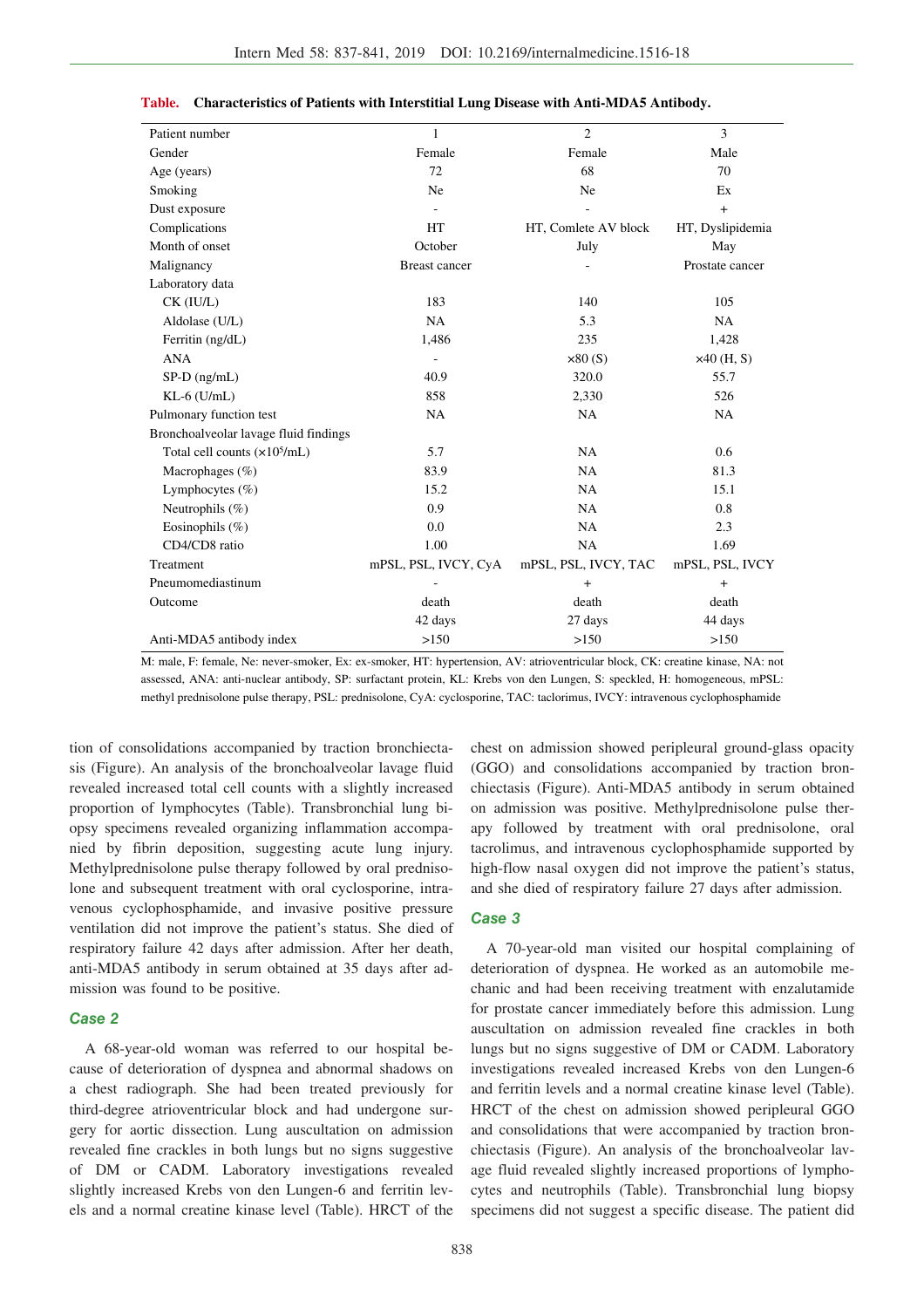| Patient number                        | $\mathbf{1}$         | $\overline{2}$       | 3                |
|---------------------------------------|----------------------|----------------------|------------------|
| Gender                                | Female               | Female               | Male             |
| Age (years)                           | 72                   | 68                   | 70               |
| Smoking                               | Ne                   | Ne                   | Ex               |
| Dust exposure                         |                      |                      | $\ddot{}$        |
| Complications                         | HT                   | HT, Comlete AV block | HT, Dyslipidemia |
| Month of onset                        | October              | July                 | May              |
| Malignancy                            | <b>Breast cancer</b> |                      | Prostate cancer  |
| Laboratory data                       |                      |                      |                  |
| CK (IU/L)                             | 183                  | 140                  | 105              |
| Aldolase (U/L)                        | NA                   | 5.3                  | NA               |
| Ferritin (ng/dL)                      | 1,486                | 235                  | 1,428            |
| <b>ANA</b>                            | ÷,                   | $\times 80$ (S)      | $x40$ (H, S)     |
| $SP-D$ (ng/mL)                        | 40.9                 | 320.0                | 55.7             |
| $KL-6$ ( $U/mL$ )                     | 858                  | 2,330                | 526              |
| Pulmonary function test               | NA                   | <b>NA</b>            | NA               |
| Bronchoalveolar lavage fluid findings |                      |                      |                  |
| Total cell counts $(x10^5/mL)$        | 5.7                  | NA                   | 0.6              |
| Macrophages (%)                       | 83.9                 | NA                   | 81.3             |
| Lymphocytes $(\% )$                   | 15.2                 | <b>NA</b>            | 15.1             |
| Neutrophils (%)                       | 0.9                  | <b>NA</b>            | 0.8              |
| Eosinophils $(\%)$                    | 0.0                  | <b>NA</b>            | 2.3              |
| CD4/CD8 ratio                         | 1.00                 | <b>NA</b>            | 1.69             |
| Treatment                             | mPSL, PSL, IVCY, CyA | mPSL, PSL, IVCY, TAC | mPSL, PSL, IVCY  |
| Pneumomediastinum                     |                      | $+$                  | $^{+}$           |
| Outcome                               | death                | death                | death            |
|                                       | 42 days              | 27 days              | 44 days          |
| Anti-MDA5 antibody index              | >150                 | >150                 | >150             |

|  | Table. Characteristics of Patients with Interstitial Lung Disease with Anti-MDA5 Antibody. |  |  |
|--|--------------------------------------------------------------------------------------------|--|--|
|--|--------------------------------------------------------------------------------------------|--|--|

M: male, F: female, Ne: never-smoker, Ex: ex-smoker, HT: hypertension, AV: atrioventricular block, CK: creatine kinase, NA: not assessed, ANA: anti-nuclear antibody, SP: surfactant protein, KL: Krebs von den Lungen, S: speckled, H: homogeneous, mPSL: methyl prednisolone pulse therapy, PSL: prednisolone, CyA: cyclosporine, TAC: taclorimus, IVCY: intravenous cyclophosphamide

tion of consolidations accompanied by traction bronchiectasis (Figure). An analysis of the bronchoalveolar lavage fluid revealed increased total cell counts with a slightly increased proportion of lymphocytes (Table). Transbronchial lung biopsy specimens revealed organizing inflammation accompanied by fibrin deposition, suggesting acute lung injury. Methylprednisolone pulse therapy followed by oral prednisolone and subsequent treatment with oral cyclosporine, intravenous cyclophosphamide, and invasive positive pressure ventilation did not improve the patient's status. She died of respiratory failure 42 days after admission. After her death, anti-MDA5 antibody in serum obtained at 35 days after admission was found to be positive.

#### **Case 2**

A 68-year-old woman was referred to our hospital because of deterioration of dyspnea and abnormal shadows on a chest radiograph. She had been treated previously for third-degree atrioventricular block and had undergone surgery for aortic dissection. Lung auscultation on admission revealed fine crackles in both lungs but no signs suggestive of DM or CADM. Laboratory investigations revealed slightly increased Krebs von den Lungen-6 and ferritin levels and a normal creatine kinase level (Table). HRCT of the chest on admission showed peripleural ground-glass opacity (GGO) and consolidations accompanied by traction bronchiectasis (Figure). Anti-MDA5 antibody in serum obtained on admission was positive. Methylprednisolone pulse therapy followed by treatment with oral prednisolone, oral tacrolimus, and intravenous cyclophosphamide supported by high-flow nasal oxygen did not improve the patient's status, and she died of respiratory failure 27 days after admission.

#### **Case 3**

A 70-year-old man visited our hospital complaining of deterioration of dyspnea. He worked as an automobile mechanic and had been receiving treatment with enzalutamide for prostate cancer immediately before this admission. Lung auscultation on admission revealed fine crackles in both lungs but no signs suggestive of DM or CADM. Laboratory investigations revealed increased Krebs von den Lungen-6 and ferritin levels and a normal creatine kinase level (Table). HRCT of the chest on admission showed peripleural GGO and consolidations that were accompanied by traction bronchiectasis (Figure). An analysis of the bronchoalveolar lavage fluid revealed slightly increased proportions of lymphocytes and neutrophils (Table). Transbronchial lung biopsy specimens did not suggest a specific disease. The patient did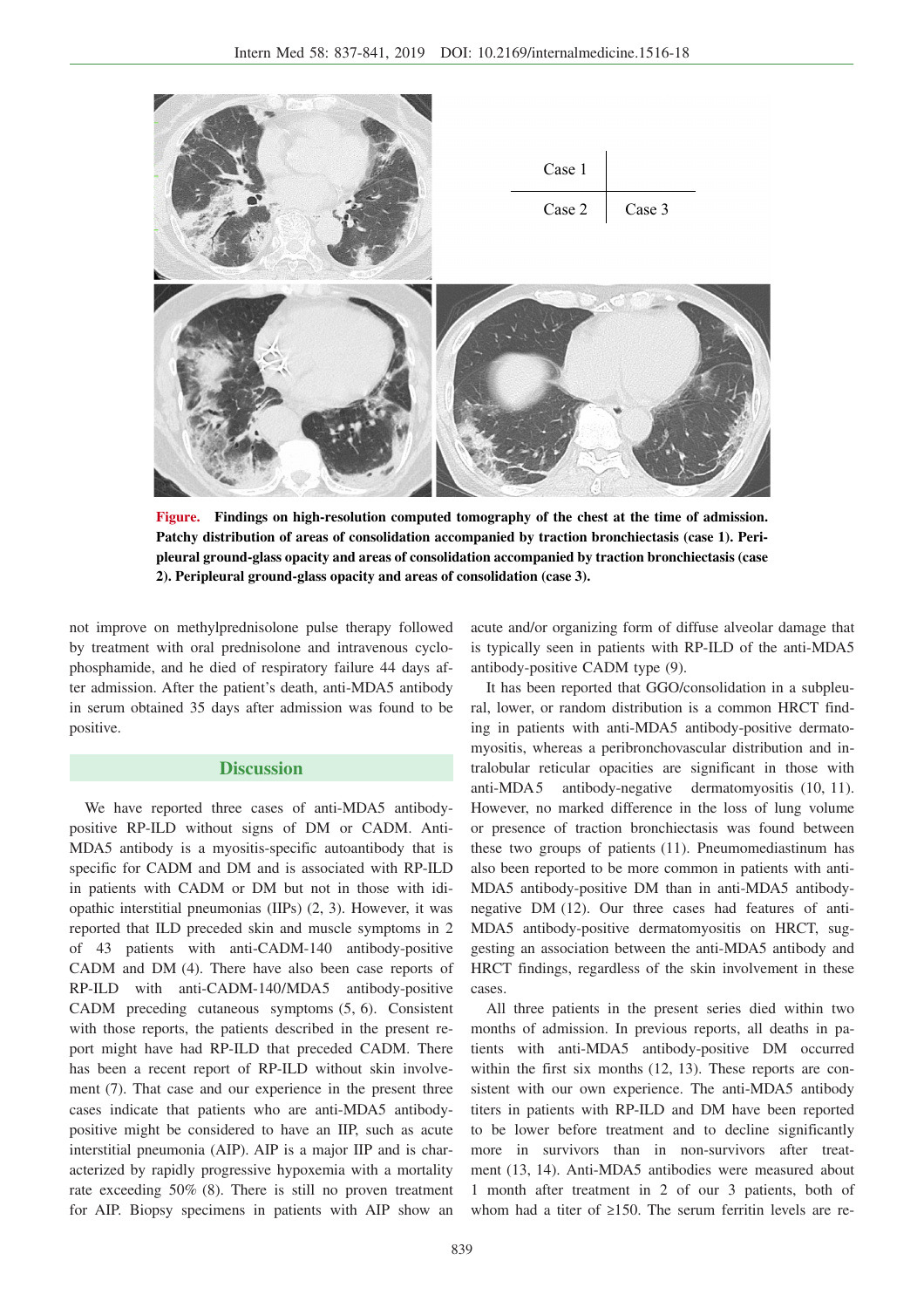

**Figure. Findings on high-resolution computed tomography of the chest at the time of admission. Patchy distribution of areas of consolidation accompanied by traction bronchiectasis (case 1). Peripleural ground-glass opacity and areas of consolidation accompanied by traction bronchiectasis (case 2). Peripleural ground-glass opacity and areas of consolidation (case 3).**

not improve on methylprednisolone pulse therapy followed by treatment with oral prednisolone and intravenous cyclophosphamide, and he died of respiratory failure 44 days after admission. After the patient's death, anti-MDA5 antibody in serum obtained 35 days after admission was found to be positive.

## **Discussion**

We have reported three cases of anti-MDA5 antibodypositive RP-ILD without signs of DM or CADM. Anti-MDA5 antibody is a myositis-specific autoantibody that is specific for CADM and DM and is associated with RP-ILD in patients with CADM or DM but not in those with idiopathic interstitial pneumonias (IIPs) (2, 3). However, it was reported that ILD preceded skin and muscle symptoms in 2 of 43 patients with anti-CADM-140 antibody-positive CADM and DM (4). There have also been case reports of RP-ILD with anti-CADM-140/MDA5 antibody-positive CADM preceding cutaneous symptoms (5, 6). Consistent with those reports, the patients described in the present report might have had RP-ILD that preceded CADM. There has been a recent report of RP-ILD without skin involvement (7). That case and our experience in the present three cases indicate that patients who are anti-MDA5 antibodypositive might be considered to have an IIP, such as acute interstitial pneumonia (AIP). AIP is a major IIP and is characterized by rapidly progressive hypoxemia with a mortality rate exceeding 50% (8). There is still no proven treatment for AIP. Biopsy specimens in patients with AIP show an

acute and/or organizing form of diffuse alveolar damage that is typically seen in patients with RP-ILD of the anti-MDA5 antibody-positive CADM type (9).

It has been reported that GGO/consolidation in a subpleural, lower, or random distribution is a common HRCT finding in patients with anti-MDA5 antibody-positive dermatomyositis, whereas a peribronchovascular distribution and intralobular reticular opacities are significant in those with anti-MDA5 antibody-negative dermatomyositis (10, 11). However, no marked difference in the loss of lung volume or presence of traction bronchiectasis was found between these two groups of patients (11). Pneumomediastinum has also been reported to be more common in patients with anti-MDA5 antibody-positive DM than in anti-MDA5 antibodynegative DM (12). Our three cases had features of anti-MDA5 antibody-positive dermatomyositis on HRCT, suggesting an association between the anti-MDA5 antibody and HRCT findings, regardless of the skin involvement in these cases.

All three patients in the present series died within two months of admission. In previous reports, all deaths in patients with anti-MDA5 antibody-positive DM occurred within the first six months (12, 13). These reports are consistent with our own experience. The anti-MDA5 antibody titers in patients with RP-ILD and DM have been reported to be lower before treatment and to decline significantly more in survivors than in non-survivors after treatment (13, 14). Anti-MDA5 antibodies were measured about 1 month after treatment in 2 of our 3 patients, both of whom had a titer of  $\geq 150$ . The serum ferritin levels are re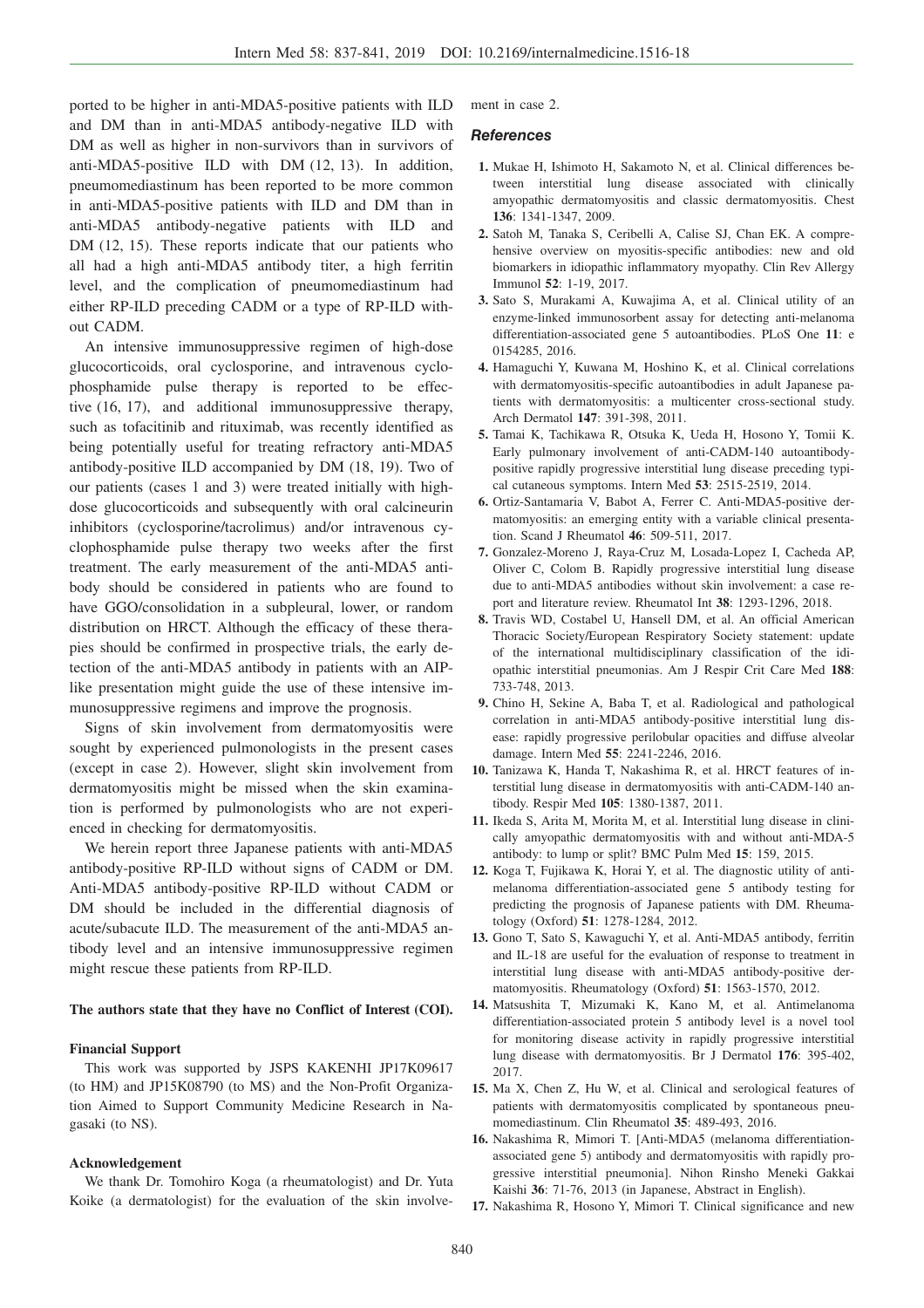ported to be higher in anti-MDA5-positive patients with ILD and DM than in anti-MDA5 antibody-negative ILD with DM as well as higher in non-survivors than in survivors of anti-MDA5-positive ILD with DM (12, 13). In addition, pneumomediastinum has been reported to be more common in anti-MDA5-positive patients with ILD and DM than in anti-MDA5 antibody-negative patients with ILD and DM (12, 15). These reports indicate that our patients who all had a high anti-MDA5 antibody titer, a high ferritin level, and the complication of pneumomediastinum had either RP-ILD preceding CADM or a type of RP-ILD without CADM.

An intensive immunosuppressive regimen of high-dose glucocorticoids, oral cyclosporine, and intravenous cyclophosphamide pulse therapy is reported to be effective (16, 17), and additional immunosuppressive therapy, such as tofacitinib and rituximab, was recently identified as being potentially useful for treating refractory anti-MDA5 antibody-positive ILD accompanied by DM (18, 19). Two of our patients (cases 1 and 3) were treated initially with highdose glucocorticoids and subsequently with oral calcineurin inhibitors (cyclosporine/tacrolimus) and/or intravenous cyclophosphamide pulse therapy two weeks after the first treatment. The early measurement of the anti-MDA5 antibody should be considered in patients who are found to have GGO/consolidation in a subpleural, lower, or random distribution on HRCT. Although the efficacy of these therapies should be confirmed in prospective trials, the early detection of the anti-MDA5 antibody in patients with an AIPlike presentation might guide the use of these intensive immunosuppressive regimens and improve the prognosis.

Signs of skin involvement from dermatomyositis were sought by experienced pulmonologists in the present cases (except in case 2). However, slight skin involvement from dermatomyositis might be missed when the skin examination is performed by pulmonologists who are not experienced in checking for dermatomyositis.

We herein report three Japanese patients with anti-MDA5 antibody-positive RP-ILD without signs of CADM or DM. Anti-MDA5 antibody-positive RP-ILD without CADM or DM should be included in the differential diagnosis of acute/subacute ILD. The measurement of the anti-MDA5 antibody level and an intensive immunosuppressive regimen might rescue these patients from RP-ILD.

#### **The authors state that they have no Conflict of Interest (COI).**

#### **Financial Support**

This work was supported by JSPS KAKENHI JP17K09617 (to HM) and JP15K08790 (to MS) and the Non-Profit Organization Aimed to Support Community Medicine Research in Nagasaki (to NS).

#### **Acknowledgement**

We thank Dr. Tomohiro Koga (a rheumatologist) and Dr. Yuta Koike (a dermatologist) for the evaluation of the skin involvement in case 2.

#### **References**

- **1.** Mukae H, Ishimoto H, Sakamoto N, et al. Clinical differences between interstitial lung disease associated with clinically amyopathic dermatomyositis and classic dermatomyositis. Chest **136**: 1341-1347, 2009.
- **2.** Satoh M, Tanaka S, Ceribelli A, Calise SJ, Chan EK. A comprehensive overview on myositis-specific antibodies: new and old biomarkers in idiopathic inflammatory myopathy. Clin Rev Allergy Immunol **52**: 1-19, 2017.
- **3.** Sato S, Murakami A, Kuwajima A, et al. Clinical utility of an enzyme-linked immunosorbent assay for detecting anti-melanoma differentiation-associated gene 5 autoantibodies. PLoS One **11**: e 0154285, 2016.
- **4.** Hamaguchi Y, Kuwana M, Hoshino K, et al. Clinical correlations with dermatomyositis-specific autoantibodies in adult Japanese patients with dermatomyositis: a multicenter cross-sectional study. Arch Dermatol **147**: 391-398, 2011.
- **5.** Tamai K, Tachikawa R, Otsuka K, Ueda H, Hosono Y, Tomii K. Early pulmonary involvement of anti-CADM-140 autoantibodypositive rapidly progressive interstitial lung disease preceding typical cutaneous symptoms. Intern Med **53**: 2515-2519, 2014.
- **6.** Ortiz-Santamaria V, Babot A, Ferrer C. Anti-MDA5-positive dermatomyositis: an emerging entity with a variable clinical presentation. Scand J Rheumatol **46**: 509-511, 2017.
- **7.** Gonzalez-Moreno J, Raya-Cruz M, Losada-Lopez I, Cacheda AP, Oliver C, Colom B. Rapidly progressive interstitial lung disease due to anti-MDA5 antibodies without skin involvement: a case report and literature review. Rheumatol Int **38**: 1293-1296, 2018.
- **8.** Travis WD, Costabel U, Hansell DM, et al. An official American Thoracic Society/European Respiratory Society statement: update of the international multidisciplinary classification of the idiopathic interstitial pneumonias. Am J Respir Crit Care Med **188**: 733-748, 2013.
- **9.** Chino H, Sekine A, Baba T, et al. Radiological and pathological correlation in anti-MDA5 antibody-positive interstitial lung disease: rapidly progressive perilobular opacities and diffuse alveolar damage. Intern Med **55**: 2241-2246, 2016.
- **10.** Tanizawa K, Handa T, Nakashima R, et al. HRCT features of interstitial lung disease in dermatomyositis with anti-CADM-140 antibody. Respir Med **105**: 1380-1387, 2011.
- **11.** Ikeda S, Arita M, Morita M, et al. Interstitial lung disease in clinically amyopathic dermatomyositis with and without anti-MDA-5 antibody: to lump or split? BMC Pulm Med **15**: 159, 2015.
- **12.** Koga T, Fujikawa K, Horai Y, et al. The diagnostic utility of antimelanoma differentiation-associated gene 5 antibody testing for predicting the prognosis of Japanese patients with DM. Rheumatology (Oxford) **51**: 1278-1284, 2012.
- **13.** Gono T, Sato S, Kawaguchi Y, et al. Anti-MDA5 antibody, ferritin and IL-18 are useful for the evaluation of response to treatment in interstitial lung disease with anti-MDA5 antibody-positive dermatomyositis. Rheumatology (Oxford) **51**: 1563-1570, 2012.
- **14.** Matsushita T, Mizumaki K, Kano M, et al. Antimelanoma differentiation-associated protein 5 antibody level is a novel tool for monitoring disease activity in rapidly progressive interstitial lung disease with dermatomyositis. Br J Dermatol **176**: 395-402, 2017.
- **15.** Ma X, Chen Z, Hu W, et al. Clinical and serological features of patients with dermatomyositis complicated by spontaneous pneumomediastinum. Clin Rheumatol **35**: 489-493, 2016.
- **16.** Nakashima R, Mimori T. [Anti-MDA5 (melanoma differentiationassociated gene 5) antibody and dermatomyositis with rapidly progressive interstitial pneumonia]. Nihon Rinsho Meneki Gakkai Kaishi **36**: 71-76, 2013 (in Japanese, Abstract in English).
- **17.** Nakashima R, Hosono Y, Mimori T. Clinical significance and new